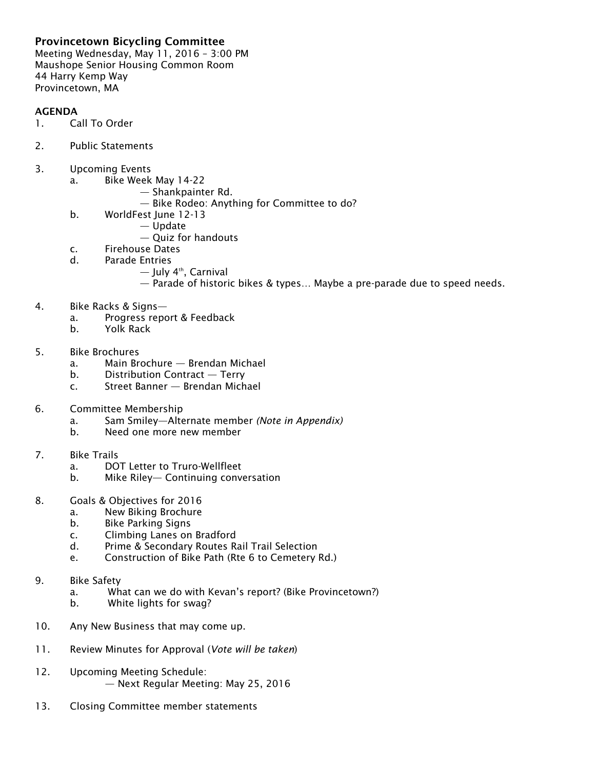## Provincetown Bicycling Committee

Meeting Wednesday, May 11, 2016 – 3:00 PM Maushope Senior Housing Common Room 44 Harry Kemp Way Provincetown, MA

## AGENDA

- 1. Call To Order
- 2. Public Statements
- 3. Upcoming Events
	- a. Bike Week May 14-22
		- Shankpainter Rd.
			- Bike Rodeo: Anything for Committee to do?
	- b. WorldFest June 12-13
		- Update
			- Quiz for handouts
	- c. Firehouse Dates
	- d. Parade Entries
		- July 4th, Carnival
		- Parade of historic bikes & types… Maybe a pre-parade due to speed needs.
- 4. Bike Racks & Signs
	- a. Progress report & Feedback
	- b. Yolk Rack
- 5. Bike Brochures
	- a. Main Brochure Brendan Michael
	- b. Distribution Contract Terry
	- c. Street Banner Brendan Michael
- 6. Committee Membership
	- a. Sam Smiley—Alternate member *(Note in Appendix)*
	- b. Need one more new member
- 7. Bike Trails
	- a. DOT Letter to Truro-Wellfleet
	- b. Mike Riley— Continuing conversation
- 8. Goals & Objectives for 2016
	- a. New Biking Brochure
	- b. Bike Parking Signs
	- c. Climbing Lanes on Bradford
	- d. Prime & Secondary Routes Rail Trail Selection
	- e. Construction of Bike Path (Rte 6 to Cemetery Rd.)
- 9. Bike Safety
	- a. What can we do with Kevan's report? (Bike Provincetown?)
	- b. White lights for swag?
- 10. Any New Business that may come up.
- 11. Review Minutes for Approval (*Vote will be taken*)
- 12. Upcoming Meeting Schedule: — Next Regular Meeting: May 25, 2016
- 13. Closing Committee member statements